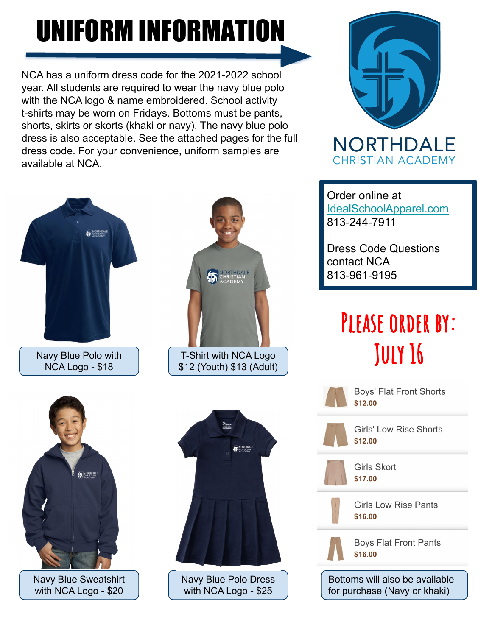# UNIFORM INFORMATION

NCA has a uniform dress code for the 2021-2022 school year. All students are required to wear the navy blue polo with the NCA logo & name embroidered. School activity t-shirts may be worn on Fridays. Bottoms must be pants, shorts, skirts or skorts (khaki or navy). The navy blue polo dress is also acceptable. See the attached pages for the full dress code. For your convenience, uniform samples are available at NCA.



Navy Blue Polo with NCA Logo - \$18



Navy Blue Sweatshirt with NCA Logo - \$20





Navy Blue Polo Dress with NCA Logo - \$25



Order online at [IdealSchoolApparel.com](http://www.idealschoolapparel.com/Northdale-Christian-Academy_c52.htm) 813-244-7911

Dress Code Questions contact NCA 813-961-9195

## PLEASE ORDER BY: **JULY 16**

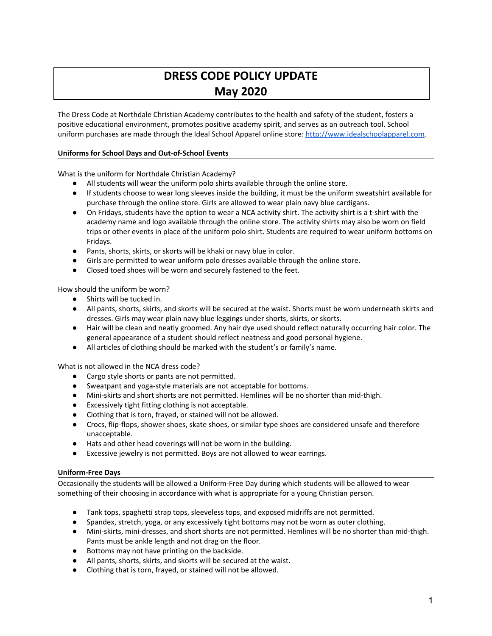### DRESS CODE POLICY UPDATE May 2020

The Dress Code at Northdale Christian Academy contributes to the health and safety of the student, fosters a positive educational environment, promotes positive academy spirit, and serves as an outreach tool. School uniform purchases are made through the Ideal School Apparel online store: [http://www.idealschoolapparel.com.](http://www.idealschoolapparel.com/)

#### Uniforms for School Days and Out-of-School Events

What is the uniform for Northdale Christian Academy?

- All students will wear the uniform polo shirts available through the online store.
- If students choose to wear long sleeves inside the building, it must be the uniform sweatshirt available for purchase through the online store. Girls are allowed to wear plain navy blue cardigans.
- On Fridays, students have the option to wear a NCA activity shirt. The activity shirt is a t-shirt with the academy name and logo available through the online store. The activity shirts may also be worn on field trips or other events in place of the uniform polo shirt. Students are required to wear uniform bottoms on Fridays.
- Pants, shorts, skirts, or skorts will be khaki or navy blue in color.
- Girls are permitted to wear uniform polo dresses available through the online store.
- Closed toed shoes will be worn and securely fastened to the feet.

How should the uniform be worn?

- Shirts will be tucked in.
- All pants, shorts, skirts, and skorts will be secured at the waist. Shorts must be worn underneath skirts and dresses. Girls may wear plain navy blue leggings under shorts, skirts, or skorts.
- Hair will be clean and neatly groomed. Any hair dye used should reflect naturally occurring hair color. The general appearance of a student should reflect neatness and good personal hygiene.
- All articles of clothing should be marked with the student's or family's name.

What is not allowed in the NCA dress code?

- Cargo style shorts or pants are not permitted.
- Sweatpant and yoga-style materials are not acceptable for bottoms.
- Mini-skirts and short shorts are not permitted. Hemlines will be no shorter than mid-thigh.
- Excessively tight fitting clothing is not acceptable.
- Clothing that is torn, frayed, or stained will not be allowed.
- Crocs, flip-flops, shower shoes, skate shoes, or similar type shoes are considered unsafe and therefore unacceptable.
- Hats and other head coverings will not be worn in the building.
- Excessive jewelry is not permitted. Boys are not allowed to wear earrings.

#### Uniform-Free Days

Occasionally the students will be allowed a Uniform-Free Day during which students will be allowed to wear something of their choosing in accordance with what is appropriate for a young Christian person.

- Tank tops, spaghetti strap tops, sleeveless tops, and exposed midriffs are not permitted.
- Spandex, stretch, yoga, or any excessively tight bottoms may not be worn as outer clothing.
- Mini-skirts, mini-dresses, and short shorts are not permitted. Hemlines will be no shorter than mid-thigh. Pants must be ankle length and not drag on the floor.
- Bottoms may not have printing on the backside.
- All pants, shorts, skirts, and skorts will be secured at the waist.
- Clothing that is torn, frayed, or stained will not be allowed.